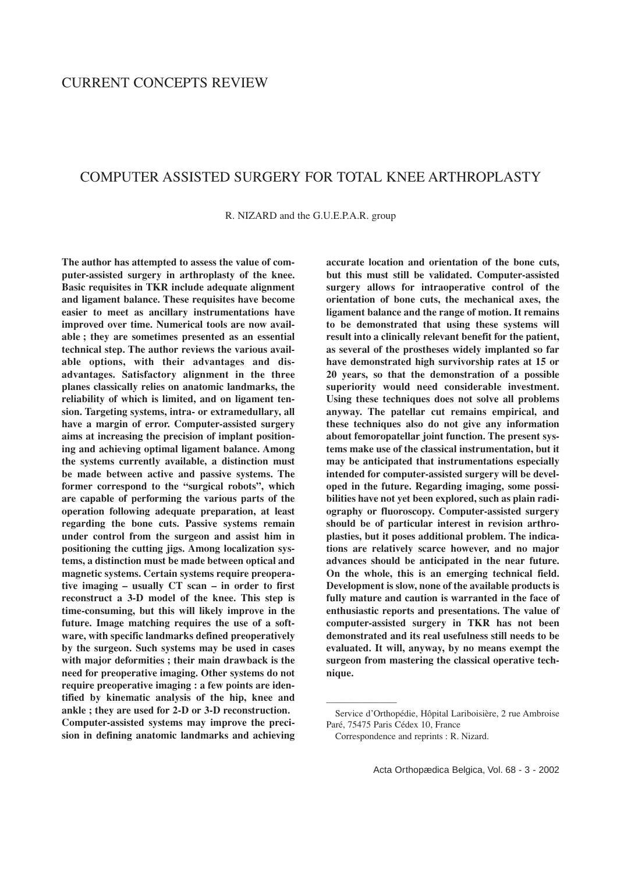# COMPUTER ASSISTED SURGERY FOR TOTAL KNEE ARTHROPLASTY

R. NIZARD and the G.U.E.P.A.R. group

**The author has attempted to assess the value of computer-assisted surgery in arthroplasty of the knee. Basic requisites in TKR include adequate alignment and ligament balance. These requisites have become easier to meet as ancillary instrumentations have improved over time. Numerical tools are now available ; they are sometimes presented as an essential technical step. The author reviews the various available options, with their advantages and disadvantages. Satisfactory alignment in the three planes classically relies on anatomic landmarks, the reliability of which is limited, and on ligament tension. Targeting systems, intra- or extramedullary, all have a margin of error. Computer-assisted surgery aims at increasing the precision of implant positioning and achieving optimal ligament balance. Among the systems currently available, a distinction must be made between active and passive systems. The former correspond to the "surgical robots", which are capable of performing the various parts of the operation following adequate preparation, at least regarding the bone cuts. Passive systems remain under control from the surgeon and assist him in positioning the cutting jigs. Among localization systems, a distinction must be made between optical and magnetic systems. Certain systems require preoperative imaging – usually CT scan – in order to first reconstruct a 3-D model of the knee. This step is time-consuming, but this will likely improve in the future. Image matching requires the use of a software, with specific landmarks defined preoperatively by the surgeon. Such systems may be used in cases with major deformities ; their main drawback is the need for preoperative imaging. Other systems do not require preoperative imaging : a few points are identified by kinematic analysis of the hip, knee and ankle ; they are used for 2-D or 3-D reconstruction. Computer-assisted systems may improve the precision in defining anatomic landmarks and achieving** **accurate location and orientation of the bone cuts, but this must still be validated. Computer-assisted surgery allows for intraoperative control of the orientation of bone cuts, the mechanical axes, the ligament balance and the range of motion. It remains to be demonstrated that using these systems will result into a clinically relevant benefit for the patient, as several of the prostheses widely implanted so far have demonstrated high survivorship rates at 15 or 20 years, so that the demonstration of a possible superiority would need considerable investment. Using these techniques does not solve all problems anyway. The patellar cut remains empirical, and these techniques also do not give any information about femoropatellar joint function. The present systems make use of the classical instrumentation, but it may be anticipated that instrumentations especially intended for computer-assisted surgery will be developed in the future. Regarding imaging, some possibilities have not yet been explored, such as plain radiography or fluoroscopy. Computer-assisted surgery should be of particular interest in revision arthroplasties, but it poses additional problem. The indications are relatively scarce however, and no major advances should be anticipated in the near future. On the whole, this is an emerging technical field. Development is slow, none of the available products is fully mature and caution is warranted in the face of enthusiastic reports and presentations. The value of computer-assisted surgery in TKR has not been demonstrated and its real usefulness still needs to be evaluated. It will, anyway, by no means exempt the surgeon from mastering the classical operative technique.**

————————

Service d'Orthopédie, Hôpital Lariboisière, 2 rue Ambroise Paré, 75475 Paris Cédex 10, France

Correspondence and reprints : R. Nizard.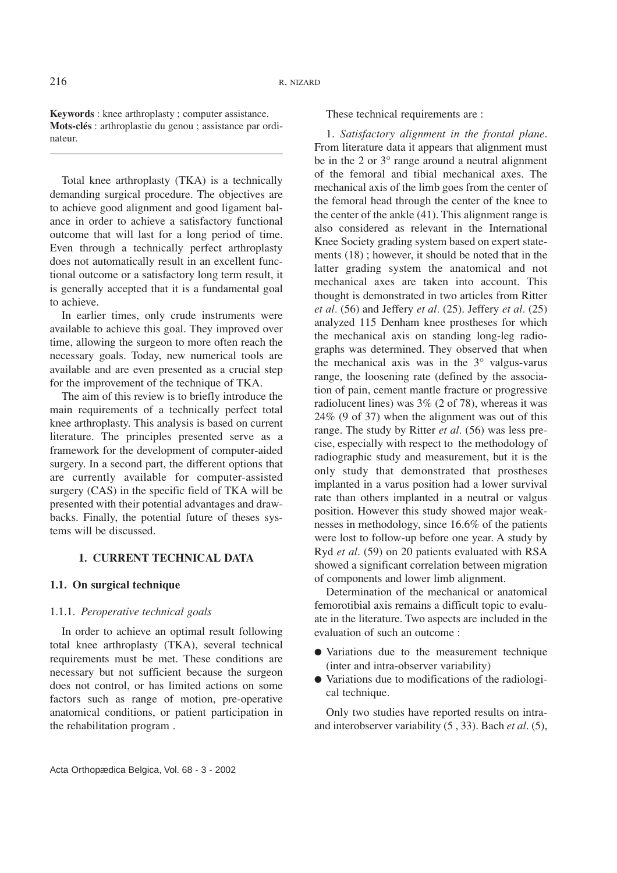**Keywords** : knee arthroplasty ; computer assistance. **Mots-clés** : arthroplastie du genou ; assistance par ordinateur.

Total knee arthroplasty (TKA) is a technically demanding surgical procedure. The objectives are to achieve good alignment and good ligament balance in order to achieve a satisfactory functional outcome that will last for a long period of time. Even through a technically perfect arthroplasty does not automatically result in an excellent functional outcome or a satisfactory long term result, it is generally accepted that it is a fundamental goal to achieve.

In earlier times, only crude instruments were available to achieve this goal. They improved over time, allowing the surgeon to more often reach the necessary goals. Today, new numerical tools are available and are even presented as a crucial step for the improvement of the technique of TKA.

The aim of this review is to briefly introduce the main requirements of a technically perfect total knee arthroplasty. This analysis is based on current literature. The principles presented serve as a framework for the development of computer-aided surgery. In a second part, the different options that are currently available for computer-assisted surgery (CAS) in the specific field of TKA will be presented with their potential advantages and drawbacks. Finally, the potential future of theses systems will be discussed.

## **1. CURRENT TECHNICAL DATA**

## **1.1. On surgical technique**

## 1.1.1. *Peroperative technical goals*

In order to achieve an optimal result following total knee arthroplasty (TKA), several technical requirements must be met. These conditions are necessary but not sufficient because the surgeon does not control, or has limited actions on some factors such as range of motion, pre-operative anatomical conditions, or patient participation in the rehabilitation program .

These technical requirements are :

1. *Satisfactory alignment in the frontal plane*. From literature data it appears that alignment must be in the 2 or  $3^\circ$  range around a neutral alignment of the femoral and tibial mechanical axes. The mechanical axis of the limb goes from the center of the femoral head through the center of the knee to the center of the ankle (41). This alignment range is also considered as relevant in the International Knee Society grading system based on expert statements (18) ; however, it should be noted that in the latter grading system the anatomical and not mechanical axes are taken into account. This thought is demonstrated in two articles from Ritter *et al.* (56) and Jeffery *et al.* (25). Jeffery *et al.* (25) analyzed 115 Denham knee prostheses for which the mechanical axis on standing long-leg radiographs was determined. They observed that when the mechanical axis was in the 3° valgus-varus range, the loosening rate (defined by the association of pain, cement mantle fracture or progressive radiolucent lines) was 3% (2 of 78), whereas it was 24% (9 of 37) when the alignment was out of this range. The study by Ritter *et al.* (56) was less precise, especially with respect to the methodology of radiographic study and measurement, but it is the only study that demonstrated that prostheses implanted in a varus position had a lower survival rate than others implanted in a neutral or valgus position. However this study showed major weaknesses in methodology, since 16.6% of the patients were lost to follow-up before one year. A study by Ryd *et al*. (59) on 20 patients evaluated with RSA showed a significant correlation between migration of components and lower limb alignment.

Determination of the mechanical or anatomical femorotibial axis remains a difficult topic to evaluate in the literature. Two aspects are included in the evaluation of such an outcome :

- Variations due to the measurement technique (inter and intra-observer variability)
- Variations due to modifications of the radiological technique.

Only two studies have reported results on intraand interobserver variability (5 , 33). Bach *et al*. (5),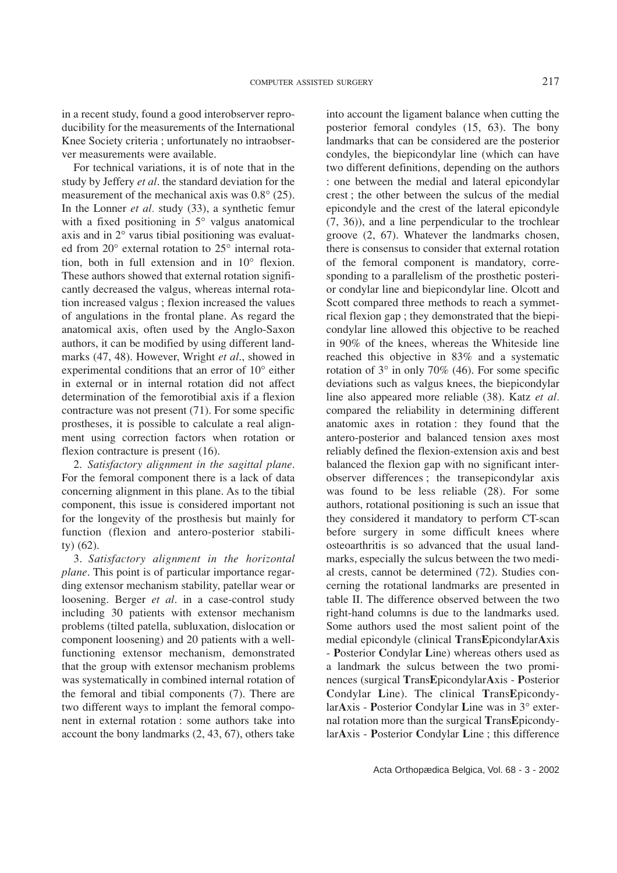in a recent study, found a good interobserver reproducibility for the measurements of the International Knee Society criteria ; unfortunately no intraobserver measurements were available.

For technical variations, it is of note that in the study by Jeffery *et al*. the standard deviation for the measurement of the mechanical axis was 0.8° (25). In the Lonner *et al.* study (33), a synthetic femur with a fixed positioning in 5° valgus anatomical axis and in 2° varus tibial positioning was evaluated from 20° external rotation to 25° internal rotation, both in full extension and in 10° flexion. These authors showed that external rotation significantly decreased the valgus, whereas internal rotation increased valgus ; flexion increased the values of angulations in the frontal plane. As regard the anatomical axis, often used by the Anglo-Saxon authors, it can be modified by using different landmarks (47, 48). However, Wright *et al*., showed in experimental conditions that an error of 10° either in external or in internal rotation did not affect determination of the femorotibial axis if a flexion contracture was not present (71). For some specific prostheses, it is possible to calculate a real alignment using correction factors when rotation or flexion contracture is present (16).

2. *Satisfactory alignment in the sagittal plane*. For the femoral component there is a lack of data concerning alignment in this plane. As to the tibial component, this issue is considered important not for the longevity of the prosthesis but mainly for function (flexion and antero-posterior stability) (62).

3. *Satisfactory alignment in the horizontal plane*. This point is of particular importance regarding extensor mechanism stability, patellar wear or loosening. Berger *et al*. in a case-control study including 30 patients with extensor mechanism problems (tilted patella, subluxation, dislocation or component loosening) and 20 patients with a wellfunctioning extensor mechanism, demonstrated that the group with extensor mechanism problems was systematically in combined internal rotation of the femoral and tibial components (7). There are two different ways to implant the femoral component in external rotation : some authors take into account the bony landmarks (2, 43, 67), others take

into account the ligament balance when cutting the posterior femoral condyles (15, 63). The bony landmarks that can be considered are the posterior condyles, the biepicondylar line (which can have two different definitions, depending on the authors : one between the medial and lateral epicondylar crest ; the other between the sulcus of the medial epicondyle and the crest of the lateral epicondyle (7, 36)), and a line perpendicular to the trochlear groove (2, 67). Whatever the landmarks chosen, there is consensus to consider that external rotation of the femoral component is mandatory, corresponding to a parallelism of the prosthetic posterior condylar line and biepicondylar line. Olcott and Scott compared three methods to reach a symmetrical flexion gap ; they demonstrated that the biepicondylar line allowed this objective to be reached in 90% of the knees, whereas the Whiteside line reached this objective in 83% and a systematic rotation of  $3^\circ$  in only 70% (46). For some specific deviations such as valgus knees, the biepicondylar line also appeared more reliable (38). Katz *et al.* compared the reliability in determining different anatomic axes in rotation : they found that the antero-posterior and balanced tension axes most reliably defined the flexion-extension axis and best balanced the flexion gap with no significant interobserver differences ; the transepicondylar axis was found to be less reliable (28). For some authors, rotational positioning is such an issue that they considered it mandatory to perform CT-scan before surgery in some difficult knees where osteoarthritis is so advanced that the usual landmarks, especially the sulcus between the two medial crests, cannot be determined (72). Studies concerning the rotational landmarks are presented in table II. The difference observed between the two right-hand columns is due to the landmarks used. Some authors used the most salient point of the medial epicondyle (clinical **T**rans**E**picondylar**A**xis - **P**osterior **C**ondylar **L**ine) whereas others used as a landmark the sulcus between the two prominences (surgical **T**rans**E**picondylar**A**xis - **P**osterior **C**ondylar **L**ine). The clinical **T**rans**E**picondylar**A**xis - **P**osterior **C**ondylar **L**ine was in 3° external rotation more than the surgical **T**rans**E**picondylar**A**xis - **P**osterior **C**ondylar **L**ine ; this difference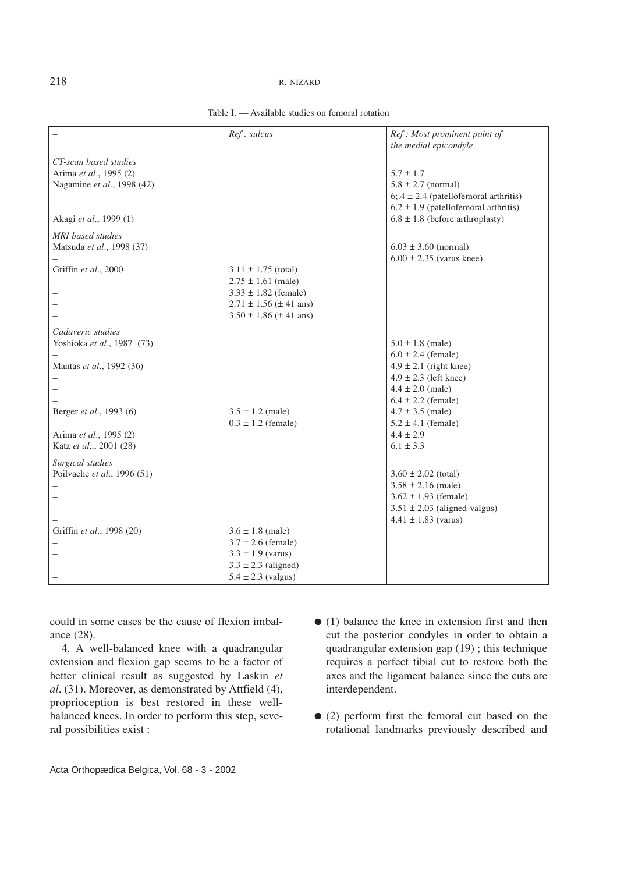### 218 R. NIZARD

|                                                                               | Ref: sulcus                                                                                                                                                       | Ref: Most prominent point of<br>the medial epicondyle                                                                                                       |
|-------------------------------------------------------------------------------|-------------------------------------------------------------------------------------------------------------------------------------------------------------------|-------------------------------------------------------------------------------------------------------------------------------------------------------------|
| CT-scan based studies<br>Arima et al., 1995 (2)<br>Nagamine et al., 1998 (42) |                                                                                                                                                                   | $5.7 \pm 1.7$<br>$5.8 \pm 2.7$ (normal)<br>$6$ ; 4 ± 2.4 (patellofemoral arthritis)                                                                         |
| Akagi et al., 1999 (1)                                                        |                                                                                                                                                                   | $6.2 \pm 1.9$ (patellofemoral arthritis)<br>$6.8 \pm 1.8$ (before arthroplasty)                                                                             |
| <b>MRI</b> based studies<br>Matsuda et al., 1998 (37)                         |                                                                                                                                                                   | $6.03 \pm 3.60$ (normal)<br>$6.00 \pm 2.35$ (varus knee)                                                                                                    |
| Griffin et al., 2000                                                          | $3.11 \pm 1.75$ (total)<br>$2.75 \pm 1.61$ (male)<br>$3.33 \pm 1.82$ (female)<br>$2.71 \pm 1.56 \ (\pm 41 \text{ ans})$<br>$3.50 \pm 1.86 \ (\pm 41 \text{ ans})$ |                                                                                                                                                             |
| Cadaveric studies                                                             |                                                                                                                                                                   |                                                                                                                                                             |
| Yoshioka et al., 1987 (73)<br>Mantas et al., 1992 (36)                        |                                                                                                                                                                   | $5.0 \pm 1.8$ (male)<br>$6.0 \pm 2.4$ (female)<br>$4.9 \pm 2.1$ (right knee)<br>$4.9 \pm 2.3$ (left knee)<br>$4.4 \pm 2.0$ (male)<br>$6.4 \pm 2.2$ (female) |
| Berger et al., 1993 (6)<br>Arima et al., 1995 (2)<br>Katz et al, 2001 (28)    | $3.5 \pm 1.2$ (male)<br>$0.3 \pm 1.2$ (female)                                                                                                                    | $4.7 \pm 3.5$ (male)<br>$5.2 \pm 4.1$ (female)<br>$4.4 \pm 2.9$<br>$6.1 \pm 3.3$                                                                            |
| Surgical studies<br>Poilvache et al., 1996 (51)                               |                                                                                                                                                                   | $3.60 \pm 2.02$ (total)<br>$3.58 \pm 2.16$ (male)<br>$3.62 \pm 1.93$ (female)<br>$3.51 \pm 2.03$ (aligned-valgus)<br>$4.41 \pm 1.83$ (varus)                |
| Griffin et al., 1998 (20)                                                     | $3.6 \pm 1.8$ (male)<br>$3.7 \pm 2.6$ (female)<br>$3.3 \pm 1.9$ (varus)<br>$3.3 \pm 2.3$ (aligned)<br>$5.4 \pm 2.3$ (valgus)                                      |                                                                                                                                                             |

Table I. — Available studies on femoral rotation

could in some cases be the cause of flexion imbalance (28).

4. A well-balanced knee with a quadrangular extension and flexion gap seems to be a factor of better clinical result as suggested by Laskin *et al*. (31). Moreover, as demonstrated by Attfield (4), proprioception is best restored in these wellbalanced knees. In order to perform this step, several possibilities exist :

- (1) balance the knee in extension first and then cut the posterior condyles in order to obtain a quadrangular extension gap (19) ; this technique requires a perfect tibial cut to restore both the axes and the ligament balance since the cuts are interdependent.
- (2) perform first the femoral cut based on the rotational landmarks previously described and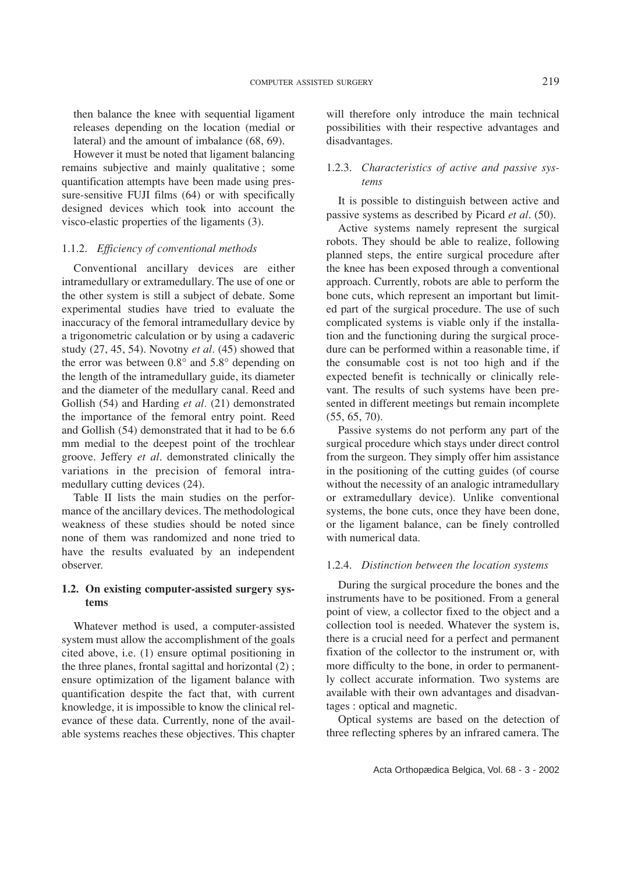then balance the knee with sequential ligament releases depending on the location (medial or lateral) and the amount of imbalance (68, 69).

However it must be noted that ligament balancing remains subjective and mainly qualitative ; some quantification attempts have been made using pressure-sensitive FUJI films (64) or with specifically designed devices which took into account the visco-elastic properties of the ligaments (3).

## 1.1.2. *Efficiency of conventional methods*

Conventional ancillary devices are either intramedullary or extramedullary. The use of one or the other system is still a subject of debate. Some experimental studies have tried to evaluate the inaccuracy of the femoral intramedullary device by a trigonometric calculation or by using a cadaveric study (27, 45, 54). Novotny *et al*. (45) showed that the error was between 0.8° and 5.8° depending on the length of the intramedullary guide, its diameter and the diameter of the medullary canal. Reed and Gollish (54) and Harding *et al.* (21) demonstrated the importance of the femoral entry point. Reed and Gollish (54) demonstrated that it had to be 6.6 mm medial to the deepest point of the trochlear groove. Jeffery *et al*. demonstrated clinically the variations in the precision of femoral intramedullary cutting devices (24).

Table II lists the main studies on the performance of the ancillary devices. The methodological weakness of these studies should be noted since none of them was randomized and none tried to have the results evaluated by an independent observer.

## **1.2. On existing computer-assisted surgery systems**

Whatever method is used, a computer-assisted system must allow the accomplishment of the goals cited above, i.e. (1) ensure optimal positioning in the three planes, frontal sagittal and horizontal (2) ; ensure optimization of the ligament balance with quantification despite the fact that, with current knowledge, it is impossible to know the clinical relevance of these data. Currently, none of the available systems reaches these objectives. This chapter will therefore only introduce the main technical possibilities with their respective advantages and disadvantages.

## 1.2.3. *Characteristics of active and passive systems*

It is possible to distinguish between active and passive systems as described by Picard *et al*. (50).

Active systems namely represent the surgical robots. They should be able to realize, following planned steps, the entire surgical procedure after the knee has been exposed through a conventional approach. Currently, robots are able to perform the bone cuts, which represent an important but limited part of the surgical procedure. The use of such complicated systems is viable only if the installation and the functioning during the surgical procedure can be performed within a reasonable time, if the consumable cost is not too high and if the expected benefit is technically or clinically relevant. The results of such systems have been presented in different meetings but remain incomplete (55, 65, 70).

Passive systems do not perform any part of the surgical procedure which stays under direct control from the surgeon. They simply offer him assistance in the positioning of the cutting guides (of course without the necessity of an analogic intramedullary or extramedullary device). Unlike conventional systems, the bone cuts, once they have been done, or the ligament balance, can be finely controlled with numerical data.

## 1.2.4. *Distinction between the location systems*

During the surgical procedure the bones and the instruments have to be positioned. From a general point of view, a collector fixed to the object and a collection tool is needed. Whatever the system is, there is a crucial need for a perfect and permanent fixation of the collector to the instrument or, with more difficulty to the bone, in order to permanently collect accurate information. Two systems are available with their own advantages and disadvantages : optical and magnetic.

Optical systems are based on the detection of three reflecting spheres by an infrared camera. The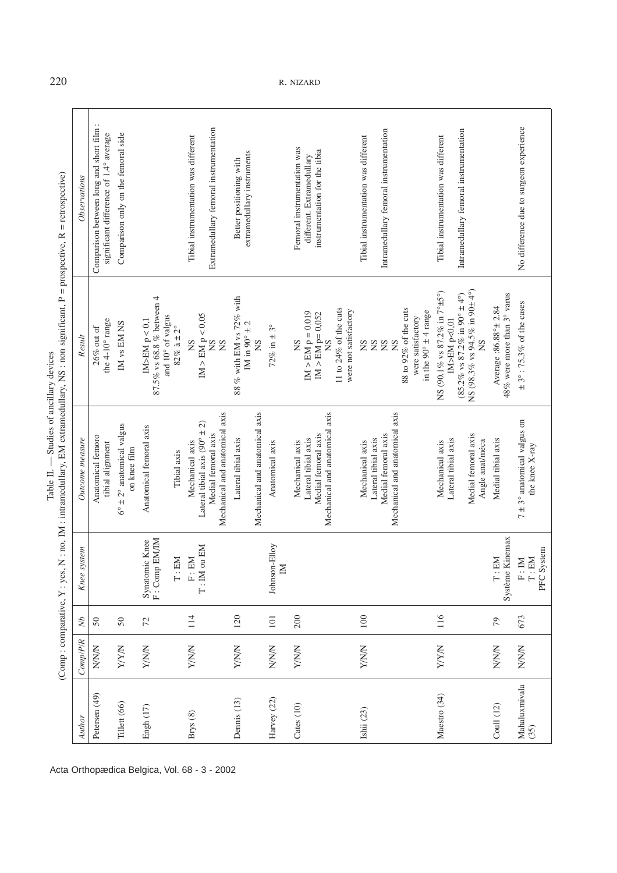| ؘڔ<br>ś | d<br>ţ<br>ł<br>i<br>١<br>$-12.5$<br>ïi<br>⊻<br>l<br>í<br>$\mathsf{I}$<br>¢<br>í<br>$\frac{4}{3}$<br>ļ<br>ŗ<br>i |
|---------|-----------------------------------------------------------------------------------------------------------------|
|         |                                                                                                                 |
|         | i                                                                                                               |
|         |                                                                                                                 |
|         | j<br>Ē<br>į<br>ζ<br>)                                                                                           |

| Author                | Comp/P/R    | $\delta N$      | system<br>Knee.                                                                                        | Outcome measure                                                                                                      | Result                                                                                                                                              | Observations                                                                              |
|-----------------------|-------------|-----------------|--------------------------------------------------------------------------------------------------------|----------------------------------------------------------------------------------------------------------------------|-----------------------------------------------------------------------------------------------------------------------------------------------------|-------------------------------------------------------------------------------------------|
| Petersen (49)         | <b>NNN</b>  | 50              |                                                                                                        | Anatomical femoro<br>tibial alignment                                                                                | the $4-10^\circ$ range<br>$26\%$ out of                                                                                                             | Comparison between long and short film:<br>significant difference of 1.4° average         |
| Tillett (66)          | <b>NAJA</b> | 50              |                                                                                                        | $6^{\circ} \pm 2^{\circ}$ anatomical valgus<br>on knee film                                                          | IM vs EM NS                                                                                                                                         | Comparison only on the femoral side                                                       |
| Engh (17)             | <b>NNVA</b> | 72              | F: Comp EM/IM<br>Synatomic Knee<br>EM<br>$\stackrel{\cdot}{\vdash}$                                    | Anatomical femoral axis<br>Tibial axis                                                                               | $87.5\%$ vs $68.8\ \%$ between $4$<br>and 10° of valgus<br>IM>EM $p < 0,1$<br>$82\%$ à $\pm$ 2°                                                     |                                                                                           |
| Brys (8)              | <b>NNVA</b> | 114             | ou EM<br>EM<br>$\Xi$<br>T:IM                                                                           | Mechanical and anatomical axis<br>Lateral tibial axis ( $90^\circ \pm 2$ )<br>Medial femoral axis<br>Mechanical axis | IM > EM p < 0.05<br>SN<br>SN<br>SN                                                                                                                  | Extramedullary femoral instrumentation<br>Tibial instrumentation was different            |
| Dennis (13)           | <b>NNVA</b> | 120             |                                                                                                        | Mechanical and anatomical axis<br>Lateral tibial axis                                                                | 88 % with EM vs 72% with<br>IM in $90^\circ \pm 2$<br>Ž                                                                                             | extramedullary instruments<br>Better positioning with                                     |
| Harvey (22)           | <b>NNN</b>  | $101\,$         | Johnson-Elloy<br>$\mathbb N$                                                                           | Anatomical axis                                                                                                      | 72% in $\pm$ 3°                                                                                                                                     |                                                                                           |
| Cates (10)            | <b>NNVA</b> | 200             |                                                                                                        | Mechanical and anatomical axis<br>Medial femoral axis<br>Lateral tibial axis<br>Mechanical axis                      | 11 to $24\%$ of the cuts<br>were not satisfactory<br>$IM > EM p = 0.019$<br>$IM > EM$ $p= 0,052$<br>SN<br>SN                                        | Femoral instrumentation was<br>instrumentation for the tibia<br>different. Extramedullary |
| Ishii (23)            | <b>NNVA</b> | $100\,$         |                                                                                                        | Mechanical and anatomical axis<br>Medial femoral axis<br>Lateral tibial axis<br>Mechanical axis                      | 88 to 92% of the cuts<br>in the $90^\circ \pm 4$ range<br>were satisfactory<br>$\overline{S}$<br>$\overline{S}$<br>SN<br>$\overline{S}$             | Intramedullary femoral instrumentation<br>Tibial instrumentation was different            |
| Maestro (34)          | <b>NAVA</b> | 116             |                                                                                                        | Medial femoral axis<br>Lateral tibial axis<br>Angle anat/méca<br>Mechanical axis                                     | NS (98.3% vs 94.5% in 90 $\pm$ 4°)<br>NS (90.1% vs 87.2% in 7°±5°)<br>$(85.2\%$ vs $87.2\%$ in $90^\circ \pm 4^\circ)$<br>IM>EM p<0,01<br><b>NS</b> | Intramedullary femoral instrumentation<br>Tibial instrumentation was different            |
| Coull $(12)$          | <b>NNNN</b> | $\overline{79}$ | Système Kinemax<br>EM<br>$\vdots$                                                                      | Medial tibial axis                                                                                                   | 48% were more than $3^{\circ}$ varus<br>Average :86.88°± 2.84                                                                                       |                                                                                           |
| Mahaluxmivala<br>(35) | <b>NNN</b>  | 673             | $\begin{array}{ll} \text{F}: \text{IM} \\ \text{T}:\text{EM} \\ \text{PFC} \text{ System} \end{array}$ | $7 \pm 3^{\circ}$ anatomical valgus on<br>the knee X-ray                                                             | $\pm$ 3°: 75.3% of the cases                                                                                                                        | No difference due to surgeon experience                                                   |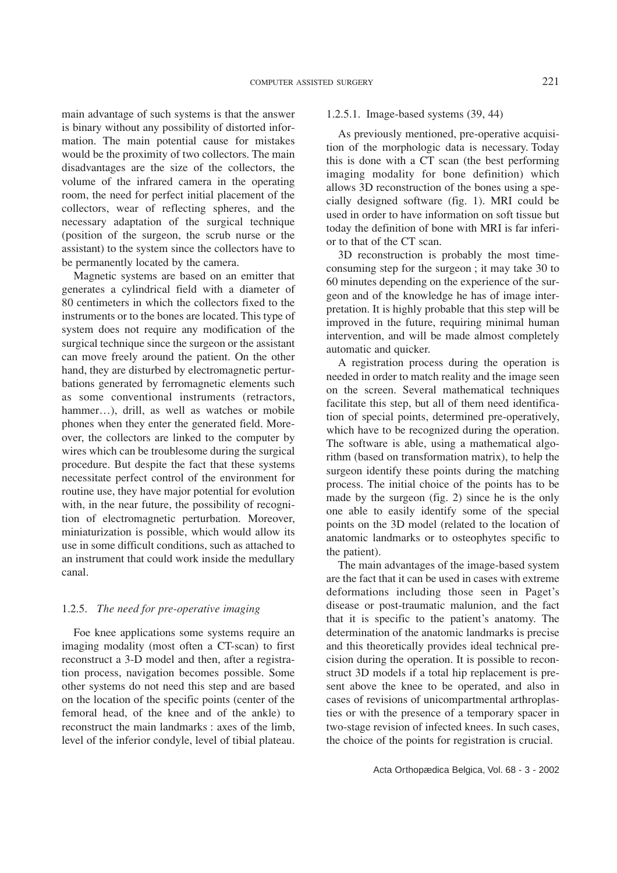main advantage of such systems is that the answer is binary without any possibility of distorted information. The main potential cause for mistakes would be the proximity of two collectors. The main disadvantages are the size of the collectors, the volume of the infrared camera in the operating room, the need for perfect initial placement of the collectors, wear of reflecting spheres, and the necessary adaptation of the surgical technique (position of the surgeon, the scrub nurse or the assistant) to the system since the collectors have to be permanently located by the camera.

Magnetic systems are based on an emitter that generates a cylindrical field with a diameter of 80 centimeters in which the collectors fixed to the instruments or to the bones are located. This type of system does not require any modification of the surgical technique since the surgeon or the assistant can move freely around the patient. On the other hand, they are disturbed by electromagnetic perturbations generated by ferromagnetic elements such as some conventional instruments (retractors, hammer...), drill, as well as watches or mobile phones when they enter the generated field. Moreover, the collectors are linked to the computer by wires which can be troublesome during the surgical procedure. But despite the fact that these systems necessitate perfect control of the environment for routine use, they have major potential for evolution with, in the near future, the possibility of recognition of electromagnetic perturbation. Moreover, miniaturization is possible, which would allow its use in some difficult conditions, such as attached to an instrument that could work inside the medullary canal.

## 1.2.5. *The need for pre-operative imaging*

Foe knee applications some systems require an imaging modality (most often a CT-scan) to first reconstruct a 3-D model and then, after a registration process, navigation becomes possible. Some other systems do not need this step and are based on the location of the specific points (center of the femoral head, of the knee and of the ankle) to reconstruct the main landmarks : axes of the limb, level of the inferior condyle, level of tibial plateau.

## 1.2.5.1. Image-based systems (39, 44)

As previously mentioned, pre-operative acquisition of the morphologic data is necessary. Today this is done with a CT scan (the best performing imaging modality for bone definition) which allows 3D reconstruction of the bones using a specially designed software (fig. 1). MRI could be used in order to have information on soft tissue but today the definition of bone with MRI is far inferior to that of the CT scan.

3D reconstruction is probably the most timeconsuming step for the surgeon ; it may take 30 to 60 minutes depending on the experience of the surgeon and of the knowledge he has of image interpretation. It is highly probable that this step will be improved in the future, requiring minimal human intervention, and will be made almost completely automatic and quicker.

A registration process during the operation is needed in order to match reality and the image seen on the screen. Several mathematical techniques facilitate this step, but all of them need identification of special points, determined pre-operatively, which have to be recognized during the operation. The software is able, using a mathematical algorithm (based on transformation matrix), to help the surgeon identify these points during the matching process. The initial choice of the points has to be made by the surgeon (fig. 2) since he is the only one able to easily identify some of the special points on the 3D model (related to the location of anatomic landmarks or to osteophytes specific to the patient).

The main advantages of the image-based system are the fact that it can be used in cases with extreme deformations including those seen in Paget's disease or post-traumatic malunion, and the fact that it is specific to the patient's anatomy. The determination of the anatomic landmarks is precise and this theoretically provides ideal technical precision during the operation. It is possible to reconstruct 3D models if a total hip replacement is present above the knee to be operated, and also in cases of revisions of unicompartmental arthroplasties or with the presence of a temporary spacer in two-stage revision of infected knees. In such cases, the choice of the points for registration is crucial.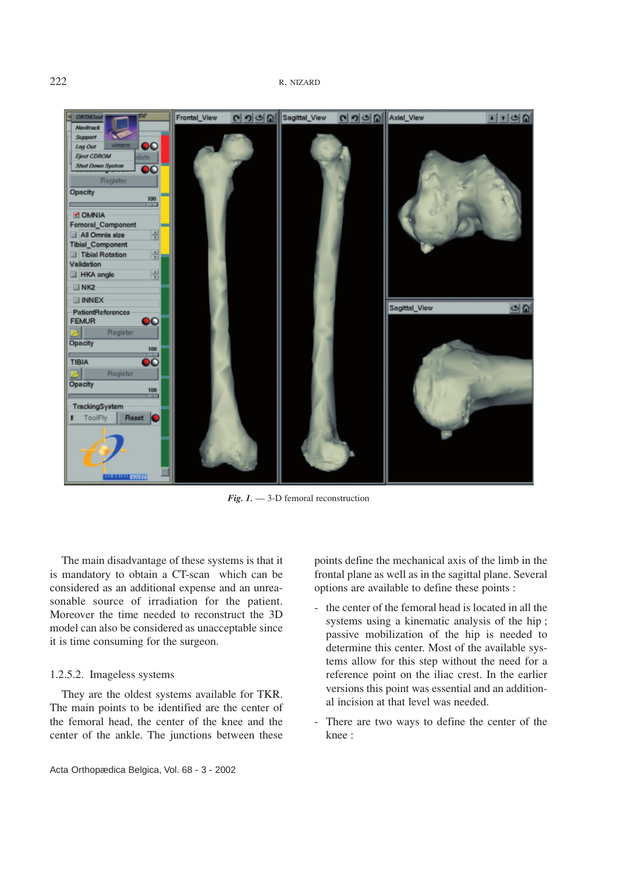

*Fig. 1.* — 3-D femoral reconstruction

The main disadvantage of these systems is that it is mandatory to obtain a CT-scan which can be considered as an additional expense and an unreasonable source of irradiation for the patient. Moreover the time needed to reconstruct the 3D model can also be considered as unacceptable since it is time consuming for the surgeon.

## 1.2.5.2. Imageless systems

They are the oldest systems available for TKR. The main points to be identified are the center of the femoral head, the center of the knee and the center of the ankle. The junctions between these

points define the mechanical axis of the limb in the frontal plane as well as in the sagittal plane. Several options are available to define these points :

- the center of the femoral head is located in all the systems using a kinematic analysis of the hip ; passive mobilization of the hip is needed to determine this center. Most of the available systems allow for this step without the need for a reference point on the iliac crest. In the earlier versions this point was essential and an additional incision at that level was needed.
- There are two ways to define the center of the knee :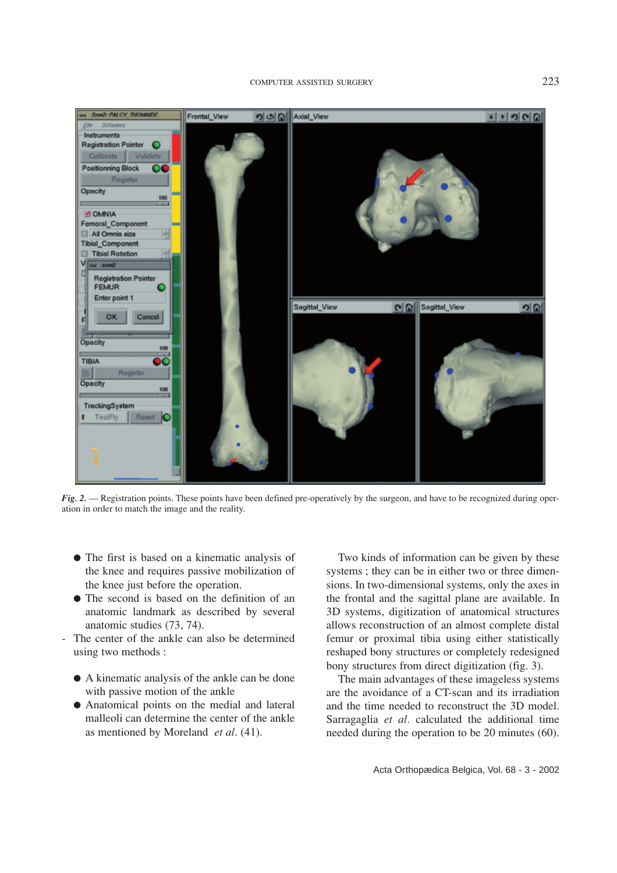

*Fig. 2.* — Registration points. These points have been defined pre-operatively by the surgeon, and have to be recognized during operation in order to match the image and the reality.

- The first is based on a kinematic analysis of the knee and requires passive mobilization of the knee just before the operation.
- The second is based on the definition of an anatomic landmark as described by several anatomic studies (73, 74).
- The center of the ankle can also be determined using two methods :
	- A kinematic analysis of the ankle can be done with passive motion of the ankle
	- Anatomical points on the medial and lateral malleoli can determine the center of the ankle as mentioned by Moreland *et al*. (41).

Two kinds of information can be given by these systems ; they can be in either two or three dimensions. In two-dimensional systems, only the axes in the frontal and the sagittal plane are available. In 3D systems, digitization of anatomical structures allows reconstruction of an almost complete distal femur or proximal tibia using either statistically reshaped bony structures or completely redesigned bony structures from direct digitization (fig. 3).

The main advantages of these imageless systems are the avoidance of a CT-scan and its irradiation and the time needed to reconstruct the 3D model. Sarragaglia *et al.* calculated the additional time needed during the operation to be 20 minutes (60).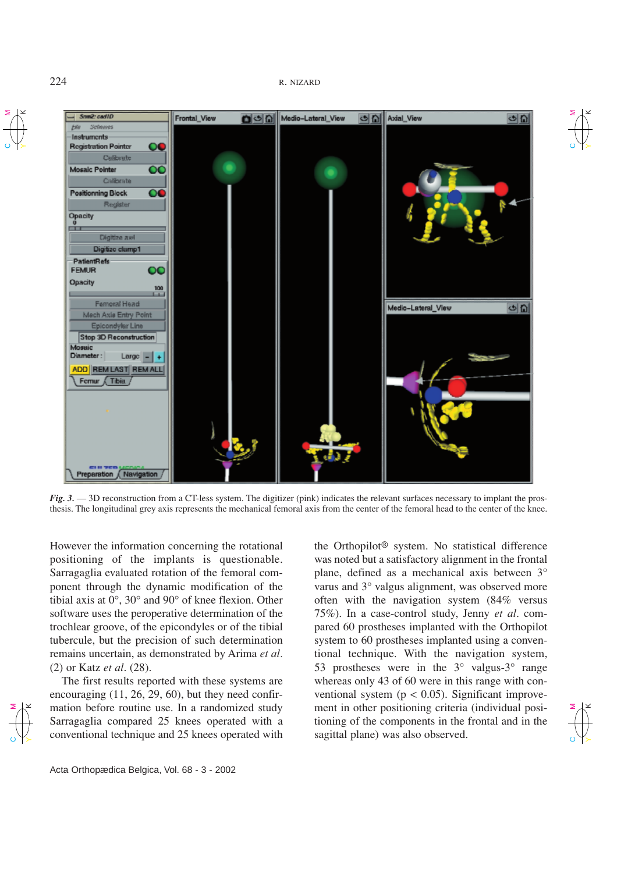224 R. NIZARD

 $\bm{\mathsf{c}}$ ⋝

 $\bm{\mathsf{c}}$ 

K⋝

 $\check{ }$ 



*Fig. 3.* — 3D reconstruction from a CT-less system. The digitizer (pink) indicates the relevant surfaces necessary to implant the prosthesis. The longitudinal grey axis represents the mechanical femoral axis from the center of the femoral head to the center of the knee.

However the information concerning the rotational positioning of the implants is questionable. Sarragaglia evaluated rotation of the femoral component through the dynamic modification of the tibial axis at 0°, 30° and 90° of knee flexion. Other software uses the peroperative determination of the trochlear groove, of the epicondyles or of the tibial tubercule, but the precision of such determination remains uncertain, as demonstrated by Arima *et al.* (2) or Katz *et al*. (28).

The first results reported with these systems are encouraging (11, 26, 29, 60), but they need confirmation before routine use. In a randomized study Sarragaglia compared 25 knees operated with a conventional technique and 25 knees operated with

Acta Orthopædica Belgica, Vol. 68 - 3 - 2002

the Orthopilot® system. No statistical difference was noted but a satisfactory alignment in the frontal plane, defined as a mechanical axis between 3° varus and 3° valgus alignment, was observed more often with the navigation system (84% versus 75%). In a case-control study, Jenny *et al*. compared 60 prostheses implanted with the Orthopilot system to 60 prostheses implanted using a conventional technique. With the navigation system, 53 prostheses were in the  $3^{\circ}$  valgus- $3^{\circ}$  range whereas only 43 of 60 were in this range with conventional system ( $p < 0.05$ ). Significant improvement in other positioning criteria (individual positioning of the components in the frontal and in the sagittal plane) was also observed.

 $\mathord{\text{\rm c}}$ K⋝  $\overline{C}$ 

K⋝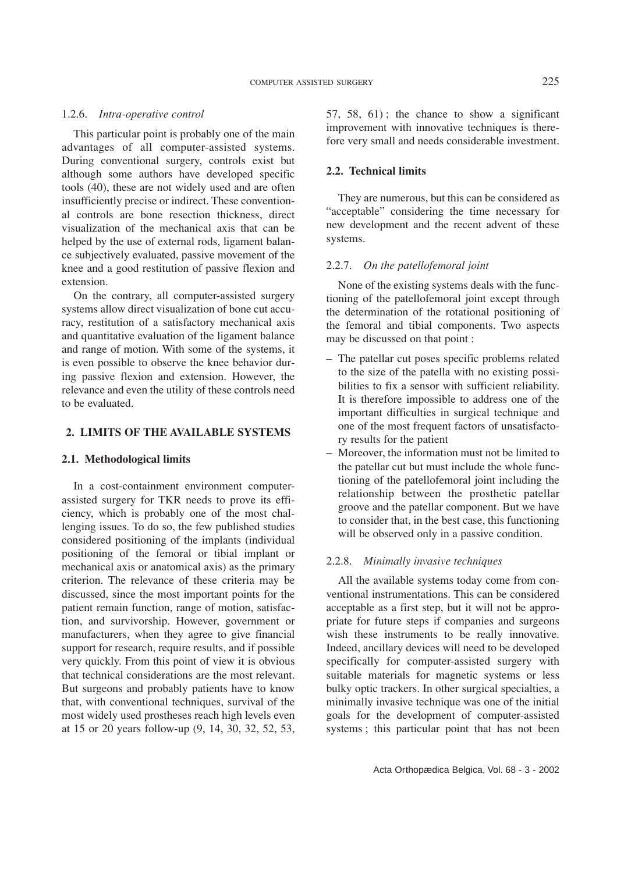### 1.2.6. *Intra-operative control*

This particular point is probably one of the main advantages of all computer-assisted systems. During conventional surgery, controls exist but although some authors have developed specific tools (40), these are not widely used and are often insufficiently precise or indirect. These conventional controls are bone resection thickness, direct visualization of the mechanical axis that can be helped by the use of external rods, ligament balance subjectively evaluated, passive movement of the knee and a good restitution of passive flexion and extension.

On the contrary, all computer-assisted surgery systems allow direct visualization of bone cut accuracy, restitution of a satisfactory mechanical axis and quantitative evaluation of the ligament balance and range of motion. With some of the systems, it is even possible to observe the knee behavior during passive flexion and extension. However, the relevance and even the utility of these controls need to be evaluated.

## **2. LIMITS OF THE AVAILABLE SYSTEMS**

## **2.1. Methodological limits**

In a cost-containment environment computerassisted surgery for TKR needs to prove its efficiency, which is probably one of the most challenging issues. To do so, the few published studies considered positioning of the implants (individual positioning of the femoral or tibial implant or mechanical axis or anatomical axis) as the primary criterion. The relevance of these criteria may be discussed, since the most important points for the patient remain function, range of motion, satisfaction, and survivorship. However, government or manufacturers, when they agree to give financial support for research, require results, and if possible very quickly. From this point of view it is obvious that technical considerations are the most relevant. But surgeons and probably patients have to know that, with conventional techniques, survival of the most widely used prostheses reach high levels even at 15 or 20 years follow-up (9, 14, 30, 32, 52, 53, 57, 58, 61) ; the chance to show a significant improvement with innovative techniques is therefore very small and needs considerable investment.

## **2.2. Technical limits**

They are numerous, but this can be considered as "acceptable" considering the time necessary for new development and the recent advent of these systems.

## 2.2.7. *On the patellofemoral joint*

None of the existing systems deals with the functioning of the patellofemoral joint except through the determination of the rotational positioning of the femoral and tibial components. Two aspects may be discussed on that point :

- The patellar cut poses specific problems related to the size of the patella with no existing possibilities to fix a sensor with sufficient reliability. It is therefore impossible to address one of the important difficulties in surgical technique and one of the most frequent factors of unsatisfactory results for the patient
- Moreover, the information must not be limited to the patellar cut but must include the whole functioning of the patellofemoral joint including the relationship between the prosthetic patellar groove and the patellar component. But we have to consider that, in the best case, this functioning will be observed only in a passive condition.

### 2.2.8. *Minimally invasive techniques*

All the available systems today come from conventional instrumentations. This can be considered acceptable as a first step, but it will not be appropriate for future steps if companies and surgeons wish these instruments to be really innovative. Indeed, ancillary devices will need to be developed specifically for computer-assisted surgery with suitable materials for magnetic systems or less bulky optic trackers. In other surgical specialties, a minimally invasive technique was one of the initial goals for the development of computer-assisted systems ; this particular point that has not been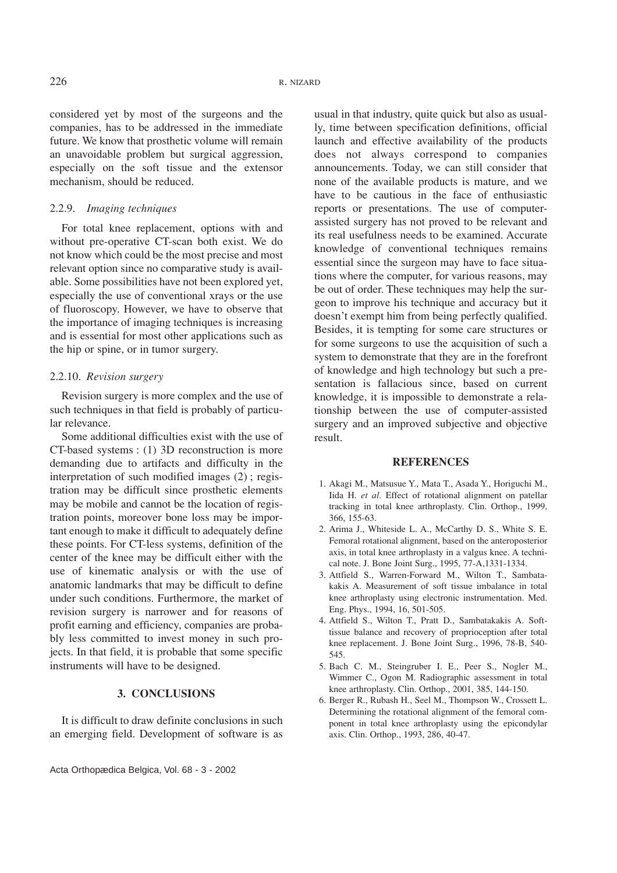considered yet by most of the surgeons and the companies, has to be addressed in the immediate future. We know that prosthetic volume will remain an unavoidable problem but surgical aggression, especially on the soft tissue and the extensor mechanism, should be reduced.

## 2.2.9. *Imaging techniques*

For total knee replacement, options with and without pre-operative CT-scan both exist. We do not know which could be the most precise and most relevant option since no comparative study is available. Some possibilities have not been explored yet, especially the use of conventional xrays or the use of fluoroscopy. However, we have to observe that the importance of imaging techniques is increasing and is essential for most other applications such as the hip or spine, or in tumor surgery.

### 2.2.10. *Revision surgery*

Revision surgery is more complex and the use of such techniques in that field is probably of particular relevance.

Some additional difficulties exist with the use of CT-based systems : (1) 3D reconstruction is more demanding due to artifacts and difficulty in the interpretation of such modified images (2) ; registration may be difficult since prosthetic elements may be mobile and cannot be the location of registration points, moreover bone loss may be important enough to make it difficult to adequately define these points. For CT-less systems, definition of the center of the knee may be difficult either with the use of kinematic analysis or with the use of anatomic landmarks that may be difficult to define under such conditions. Furthermore, the market of revision surgery is narrower and for reasons of profit earning and efficiency, companies are probably less committed to invest money in such projects. In that field, it is probable that some specific instruments will have to be designed.

## **3. CONCLUSIONS**

It is difficult to draw definite conclusions in such an emerging field. Development of software is as

usual in that industry, quite quick but also as usually, time between specification definitions, official launch and effective availability of the products does not always correspond to companies announcements. Today, we can still consider that none of the available products is mature, and we have to be cautious in the face of enthusiastic reports or presentations. The use of computerassisted surgery has not proved to be relevant and its real usefulness needs to be examined. Accurate knowledge of conventional techniques remains essential since the surgeon may have to face situations where the computer, for various reasons, may be out of order. These techniques may help the surgeon to improve his technique and accuracy but it doesn't exempt him from being perfectly qualified. Besides, it is tempting for some care structures or for some surgeons to use the acquisition of such a system to demonstrate that they are in the forefront of knowledge and high technology but such a presentation is fallacious since, based on current knowledge, it is impossible to demonstrate a relationship between the use of computer-assisted surgery and an improved subjective and objective result.

#### **REFERENCES**

- 1. Akagi M., Matsusue Y., Mata T., Asada Y., Horiguchi M., Iida H. *et al.* Effect of rotational alignment on patellar tracking in total knee arthroplasty. Clin. Orthop., 1999, 366, 155-63.
- 2. Arima J., Whiteside L. A., McCarthy D. S., White S. E. Femoral rotational alignment, based on the anteroposterior axis, in total knee arthroplasty in a valgus knee. A technical note. J. Bone Joint Surg., 1995, 77-A,1331-1334.
- 3. Attfield S., Warren-Forward M., Wilton T., Sambatakakis A. Measurement of soft tissue imbalance in total knee arthroplasty using electronic instrumentation. Med. Eng. Phys., 1994, 16, 501-505.
- 4. Attfield S., Wilton T., Pratt D., Sambatakakis A. Softtissue balance and recovery of proprioception after total knee replacement. J. Bone Joint Surg., 1996, 78-B, 540- 545.
- 5. Bach C. M., Steingruber I. E., Peer S., Nogler M., Wimmer C., Ogon M. Radiographic assessment in total knee arthroplasty. Clin. Orthop., 2001, 385, 144-150.
- 6. Berger R., Rubash H., Seel M., Thompson W., Crossett L. Determining the rotational alignment of the femoral component in total knee arthroplasty using the epicondylar axis. Clin. Orthop., 1993, 286, 40-47.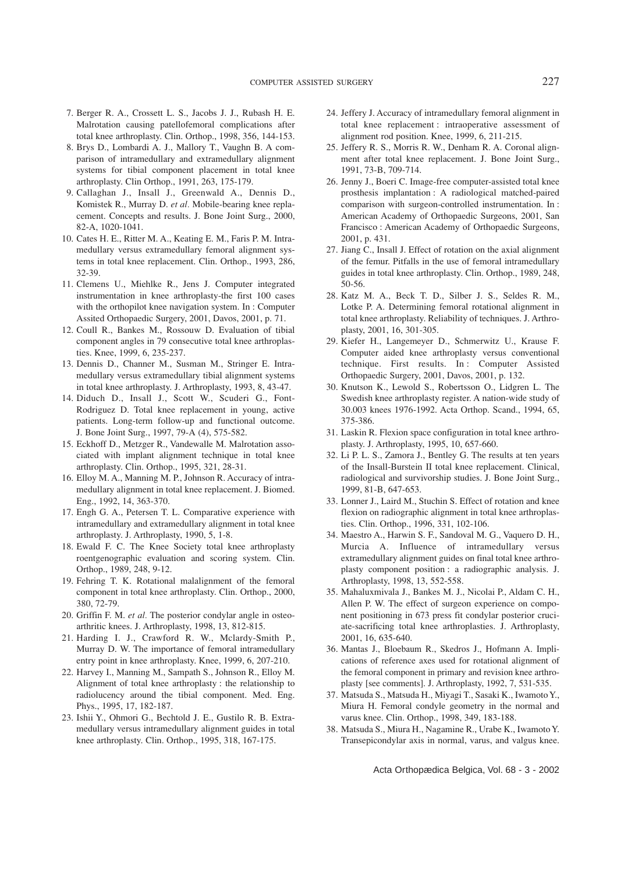- 7. Berger R. A., Crossett L. S., Jacobs J. J., Rubash H. E. Malrotation causing patellofemoral complications after total knee arthroplasty. Clin. Orthop., 1998, 356, 144-153.
- 8. Brys D., Lombardi A. J., Mallory T., Vaughn B. A comparison of intramedullary and extramedullary alignment systems for tibial component placement in total knee arthroplasty. Clin Orthop., 1991, 263, 175-179.
- 9. Callaghan J., Insall J., Greenwald A., Dennis D., Komistek R., Murray D. *et al.* Mobile-bearing knee replacement. Concepts and results. J. Bone Joint Surg., 2000, 82-A, 1020-1041.
- 10. Cates H. E., Ritter M. A., Keating E. M., Faris P. M. Intramedullary versus extramedullary femoral alignment systems in total knee replacement. Clin. Orthop., 1993, 286, 32-39.
- 11. Clemens U., Miehlke R., Jens J. Computer integrated instrumentation in knee arthroplasty-the first 100 cases with the orthopilot knee navigation system. In : Computer Assited Orthopaedic Surgery, 2001, Davos, 2001, p. 71.
- 12. Coull R., Bankes M., Rossouw D. Evaluation of tibial component angles in 79 consecutive total knee arthroplasties. Knee, 1999, 6, 235-237.
- 13. Dennis D., Channer M., Susman M., Stringer E. Intramedullary versus extramedullary tibial alignment systems in total knee arthroplasty. J. Arthroplasty, 1993, 8, 43-47.
- 14. Diduch D., Insall J., Scott W., Scuderi G., Font-Rodriguez D. Total knee replacement in young, active patients. Long-term follow-up and functional outcome. J. Bone Joint Surg., 1997, 79-A (4), 575-582.
- 15. Eckhoff D., Metzger R., Vandewalle M. Malrotation associated with implant alignment technique in total knee arthroplasty. Clin. Orthop., 1995, 321, 28-31.
- 16. Elloy M. A., Manning M. P., Johnson R. Accuracy of intramedullary alignment in total knee replacement. J. Biomed. Eng., 1992, 14, 363-370.
- 17. Engh G. A., Petersen T. L. Comparative experience with intramedullary and extramedullary alignment in total knee arthroplasty. J. Arthroplasty, 1990, 5, 1-8.
- 18. Ewald F. C. The Knee Society total knee arthroplasty roentgenographic evaluation and scoring system. Clin. Orthop., 1989, 248, 9-12.
- 19. Fehring T. K. Rotational malalignment of the femoral component in total knee arthroplasty. Clin. Orthop., 2000, 380, 72-79.
- 20. Griffin F. M. *et al.* The posterior condylar angle in osteoarthritic knees. J. Arthroplasty, 1998, 13, 812-815.
- 21. Harding I. J., Crawford R. W., Mclardy-Smith P., Murray D. W. The importance of femoral intramedullary entry point in knee arthroplasty. Knee, 1999, 6, 207-210.
- 22. Harvey I., Manning M., Sampath S., Johnson R., Elloy M. Alignment of total knee arthroplasty : the relationship to radiolucency around the tibial component. Med. Eng. Phys., 1995, 17, 182-187.
- 23. Ishii Y., Ohmori G., Bechtold J. E., Gustilo R. B. Extramedullary versus intramedullary alignment guides in total knee arthroplasty. Clin. Orthop., 1995, 318, 167-175.
- 24. Jeffery J. Accuracy of intramedullary femoral alignment in total knee replacement : intraoperative assessment of alignment rod position. Knee, 1999, 6, 211-215.
- 25. Jeffery R. S., Morris R. W., Denham R. A. Coronal alignment after total knee replacement. J. Bone Joint Surg., 1991, 73-B, 709-714.
- 26. Jenny J., Boeri C. Image-free computer-assisted total knee prosthesis implantation : A radiological matched-paired comparison with surgeon-controlled instrumentation. In : American Academy of Orthopaedic Surgeons, 2001, San Francisco : American Academy of Orthopaedic Surgeons, 2001, p. 431.
- 27. Jiang C., Insall J. Effect of rotation on the axial alignment of the femur. Pitfalls in the use of femoral intramedullary guides in total knee arthroplasty. Clin. Orthop., 1989, 248, 50-56.
- 28. Katz M. A., Beck T. D., Silber J. S., Seldes R. M., Lotke P. A. Determining femoral rotational alignment in total knee arthroplasty. Reliability of techniques. J. Arthroplasty, 2001, 16, 301-305.
- 29. Kiefer H., Langemeyer D., Schmerwitz U., Krause F. Computer aided knee arthroplasty versus conventional technique. First results. In : Computer Assisted Orthopaedic Surgery, 2001, Davos, 2001, p. 132.
- 30. Knutson K., Lewold S., Robertsson O., Lidgren L. The Swedish knee arthroplasty register. A nation-wide study of 30.003 knees 1976-1992. Acta Orthop. Scand., 1994, 65, 375-386.
- 31. Laskin R. Flexion space configuration in total knee arthroplasty. J. Arthroplasty, 1995, 10, 657-660.
- 32. Li P. L. S., Zamora J., Bentley G. The results at ten years of the Insall-Burstein II total knee replacement. Clinical, radiological and survivorship studies. J. Bone Joint Surg., 1999, 81-B, 647-653.
- 33. Lonner J., Laird M., Stuchin S. Effect of rotation and knee flexion on radiographic alignment in total knee arthroplasties. Clin. Orthop., 1996, 331, 102-106.
- 34. Maestro A., Harwin S. F., Sandoval M. G., Vaquero D. H., Murcia A. Influence of intramedullary versus extramedullary alignment guides on final total knee arthroplasty component position : a radiographic analysis. J. Arthroplasty, 1998, 13, 552-558.
- 35. Mahaluxmivala J., Bankes M. J., Nicolai P., Aldam C. H., Allen P. W. The effect of surgeon experience on component positioning in 673 press fit condylar posterior cruciate-sacrificing total knee arthroplasties. J. Arthroplasty, 2001, 16, 635-640.
- 36. Mantas J., Bloebaum R., Skedros J., Hofmann A. Implications of reference axes used for rotational alignment of the femoral component in primary and revision knee arthroplasty [see comments]. J. Arthroplasty, 1992, 7, 531-535.
- 37. Matsuda S., Matsuda H., Miyagi T., Sasaki K., Iwamoto Y., Miura H. Femoral condyle geometry in the normal and varus knee. Clin. Orthop., 1998, 349, 183-188.
- 38. Matsuda S., Miura H., Nagamine R., Urabe K., Iwamoto Y. Transepicondylar axis in normal, varus, and valgus knee.

Acta Orthopædica Belgica, Vol. 68 - 3 - 2002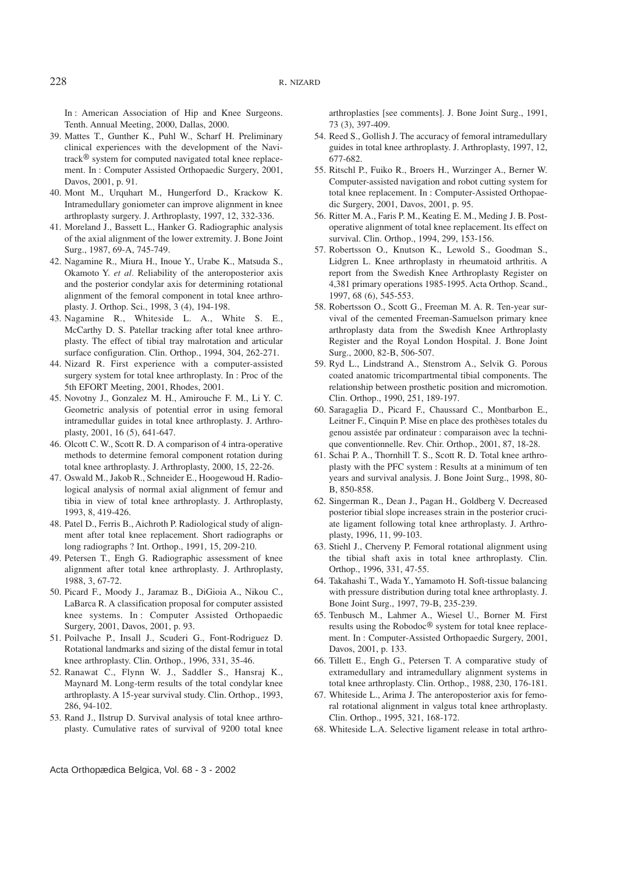In : American Association of Hip and Knee Surgeons. Tenth. Annual Meeting, 2000, Dallas, 2000.

- 39. Mattes T., Gunther K., Puhl W., Scharf H. Preliminary clinical experiences with the development of the Navitrack® system for computed navigated total knee replacement. In : Computer Assisted Orthopaedic Surgery, 2001, Davos, 2001, p. 91.
- 40. Mont M., Urquhart M., Hungerford D., Krackow K. Intramedullary goniometer can improve alignment in knee arthroplasty surgery. J. Arthroplasty, 1997, 12, 332-336.
- 41. Moreland J., Bassett L., Hanker G. Radiographic analysis of the axial alignment of the lower extremity. J. Bone Joint Surg., 1987, 69-A, 745-749.
- 42. Nagamine R., Miura H., Inoue Y., Urabe K., Matsuda S., Okamoto Y. *et al.* Reliability of the anteroposterior axis and the posterior condylar axis for determining rotational alignment of the femoral component in total knee arthroplasty. J. Orthop. Sci., 1998, 3 (4), 194-198.
- 43. Nagamine R., Whiteside L. A., White S. E., McCarthy D. S. Patellar tracking after total knee arthroplasty. The effect of tibial tray malrotation and articular surface configuration. Clin. Orthop., 1994, 304, 262-271.
- 44. Nizard R. First experience with a computer-assisted surgery system for total knee arthroplasty. In : Proc of the 5th EFORT Meeting, 2001, Rhodes, 2001.
- 45. Novotny J., Gonzalez M. H., Amirouche F. M., Li Y. C. Geometric analysis of potential error in using femoral intramedullar guides in total knee arthroplasty. J. Arthroplasty, 2001, 16 (5), 641-647.
- 46. Olcott C. W., Scott R. D. A comparison of 4 intra-operative methods to determine femoral component rotation during total knee arthroplasty. J. Arthroplasty, 2000, 15, 22-26.
- 47. Oswald M., Jakob R., Schneider E., Hoogewoud H. Radiological analysis of normal axial alignment of femur and tibia in view of total knee arthroplasty. J. Arthroplasty, 1993, 8, 419-426.
- 48. Patel D., Ferris B., Aichroth P. Radiological study of alignment after total knee replacement. Short radiographs or long radiographs ? Int. Orthop., 1991, 15, 209-210.
- 49. Petersen T., Engh G. Radiographic assessment of knee alignment after total knee arthroplasty. J. Arthroplasty, 1988, 3, 67-72.
- 50. Picard F., Moody J., Jaramaz B., DiGioia A., Nikou C., LaBarca R. A classification proposal for computer assisted knee systems. In : Computer Assisted Orthopaedic Surgery, 2001, Davos, 2001, p. 93.
- 51. Poilvache P., Insall J., Scuderi G., Font-Rodriguez D. Rotational landmarks and sizing of the distal femur in total knee arthroplasty. Clin. Orthop., 1996, 331, 35-46.
- 52. Ranawat C., Flynn W. J., Saddler S., Hansraj K., Maynard M. Long-term results of the total condylar knee arthroplasty. A 15-year survival study. Clin. Orthop., 1993, 286, 94-102.
- 53. Rand J., Ilstrup D. Survival analysis of total knee arthroplasty. Cumulative rates of survival of 9200 total knee

arthroplasties [see comments]. J. Bone Joint Surg., 1991, 73 (3), 397-409.

- 54. Reed S., Gollish J. The accuracy of femoral intramedullary guides in total knee arthroplasty. J. Arthroplasty, 1997, 12, 677-682.
- 55. Ritschl P., Fuiko R., Broers H., Wurzinger A., Berner W. Computer-assisted navigation and robot cutting system for total knee replacement. In : Computer-Assisted Orthopaedic Surgery, 2001, Davos, 2001, p. 95.
- 56. Ritter M. A., Faris P. M., Keating E. M., Meding J. B. Postoperative alignment of total knee replacement. Its effect on survival. Clin. Orthop., 1994, 299, 153-156.
- 57. Robertsson O., Knutson K., Lewold S., Goodman S., Lidgren L. Knee arthroplasty in rheumatoid arthritis. A report from the Swedish Knee Arthroplasty Register on 4,381 primary operations 1985-1995. Acta Orthop. Scand., 1997, 68 (6), 545-553.
- 58. Robertsson O., Scott G., Freeman M. A. R. Ten-year survival of the cemented Freeman-Samuelson primary knee arthroplasty data from the Swedish Knee Arthroplasty Register and the Royal London Hospital. J. Bone Joint Surg., 2000, 82-B, 506-507.
- 59. Ryd L., Lindstrand A., Stenstrom A., Selvik G. Porous coated anatomic tricompartmental tibial components. The relationship between prosthetic position and micromotion. Clin. Orthop., 1990, 251, 189-197.
- 60. Saragaglia D., Picard F., Chaussard C., Montbarbon E., Leitner F., Cinquin P. Mise en place des prothèses totales du genou assistée par ordinateur : comparaison avec la technique conventionnelle. Rev. Chir. Orthop., 2001, 87, 18-28.
- 61. Schai P. A., Thornhill T. S., Scott R. D. Total knee arthroplasty with the PFC system : Results at a minimum of ten years and survival analysis. J. Bone Joint Surg., 1998, 80- B, 850-858.
- 62. Singerman R., Dean J., Pagan H., Goldberg V. Decreased posterior tibial slope increases strain in the posterior cruciate ligament following total knee arthroplasty. J. Arthroplasty, 1996, 11, 99-103.
- 63. Stiehl J., Cherveny P. Femoral rotational alignment using the tibial shaft axis in total knee arthroplasty. Clin. Orthop., 1996, 331, 47-55.
- 64. Takahashi T., Wada Y., Yamamoto H. Soft-tissue balancing with pressure distribution during total knee arthroplasty. J. Bone Joint Surg., 1997, 79-B, 235-239.
- 65. Tenbusch M., Lahmer A., Wiesel U., Borner M. First results using the Robodoc® system for total knee replacement. In : Computer-Assisted Orthopaedic Surgery, 2001, Davos, 2001, p. 133.
- 66. Tillett E., Engh G., Petersen T. A comparative study of extramedullary and intramedullary alignment systems in total knee arthroplasty. Clin. Orthop., 1988, 230, 176-181.
- 67. Whiteside L., Arima J. The anteroposterior axis for femoral rotational alignment in valgus total knee arthroplasty. Clin. Orthop., 1995, 321, 168-172.
- 68. Whiteside L.A. Selective ligament release in total arthro-

Acta Orthopædica Belgica, Vol. 68 - 3 - 2002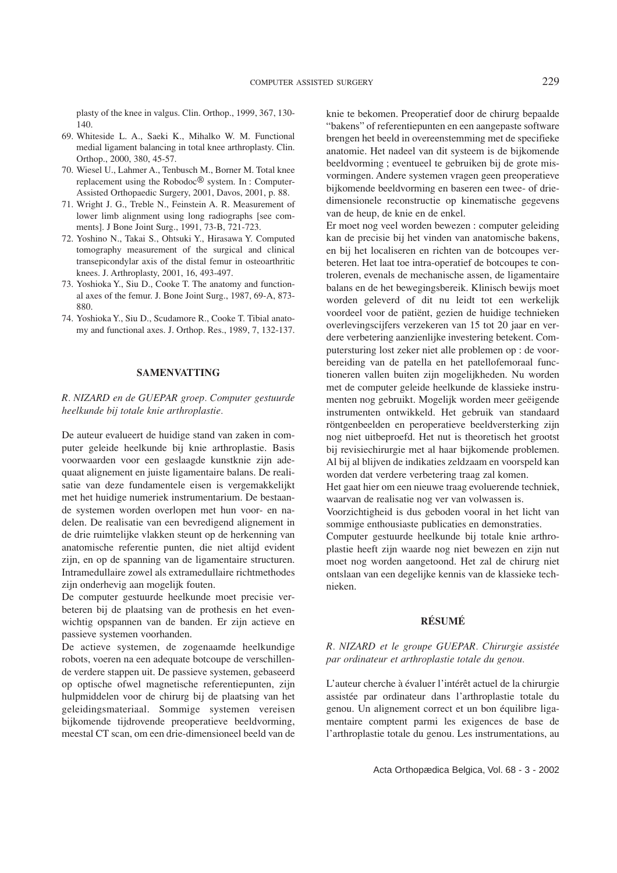plasty of the knee in valgus. Clin. Orthop., 1999, 367, 130- 140.

- 69. Whiteside L. A., Saeki K., Mihalko W. M. Functional medial ligament balancing in total knee arthroplasty. Clin. Orthop., 2000, 380, 45-57.
- 70. Wiesel U., Lahmer A., Tenbusch M., Borner M. Total knee replacement using the Robodoc® system. In : Computer-Assisted Orthopaedic Surgery, 2001, Davos, 2001, p. 88.
- 71. Wright J. G., Treble N., Feinstein A. R. Measurement of lower limb alignment using long radiographs [see comments]. J Bone Joint Surg., 1991, 73-B, 721-723.
- 72. Yoshino N., Takai S., Ohtsuki Y., Hirasawa Y. Computed tomography measurement of the surgical and clinical transepicondylar axis of the distal femur in osteoarthritic knees. J. Arthroplasty, 2001, 16, 493-497.
- 73. Yoshioka Y., Siu D., Cooke T. The anatomy and functional axes of the femur. J. Bone Joint Surg., 1987, 69-A, 873- 880.
- 74. Yoshioka Y., Siu D., Scudamore R., Cooke T. Tibial anatomy and functional axes. J. Orthop. Res., 1989, 7, 132-137.

### **SAMENVATTING**

*R. NIZARD en de GUEPAR groep. Computer gestuurde heelkunde bij totale knie arthroplastie.*

De auteur evalueert de huidige stand van zaken in computer geleide heelkunde bij knie arthroplastie. Basis voorwaarden voor een geslaagde kunstknie zijn adequaat alignement en juiste ligamentaire balans. De realisatie van deze fundamentele eisen is vergemakkelijkt met het huidige numeriek instrumentarium. De bestaande systemen worden overlopen met hun voor- en nadelen. De realisatie van een bevredigend alignement in de drie ruimtelijke vlakken steunt op de herkenning van anatomische referentie punten, die niet altijd evident zijn, en op de spanning van de ligamentaire structuren. Intramedullaire zowel als extramedullaire richtmethodes zijn onderhevig aan mogelijk fouten.

De computer gestuurde heelkunde moet precisie verbeteren bij de plaatsing van de prothesis en het evenwichtig opspannen van de banden. Er zijn actieve en passieve systemen voorhanden.

De actieve systemen, de zogenaamde heelkundige robots, voeren na een adequate botcoupe de verschillende verdere stappen uit. De passieve systemen, gebaseerd op optische ofwel magnetische referentiepunten, zijn hulpmiddelen voor de chirurg bij de plaatsing van het geleidingsmateriaal. Sommige systemen vereisen bijkomende tijdrovende preoperatieve beeldvorming, meestal CT scan, om een drie-dimensioneel beeld van de

knie te bekomen. Preoperatief door de chirurg bepaalde "bakens" of referentiepunten en een aangepaste software brengen het beeld in overeenstemming met de specifieke anatomie. Het nadeel van dit systeem is de bijkomende beeldvorming ; eventueel te gebruiken bij de grote misvormingen. Andere systemen vragen geen preoperatieve bijkomende beeldvorming en baseren een twee- of driedimensionele reconstructie op kinematische gegevens van de heup, de knie en de enkel.

Er moet nog veel worden bewezen : computer geleiding kan de precisie bij het vinden van anatomische bakens, en bij het localiseren en richten van de botcoupes verbeteren. Het laat toe intra-operatief de botcoupes te controleren, evenals de mechanische assen, de ligamentaire balans en de het bewegingsbereik. Klinisch bewijs moet worden geleverd of dit nu leidt tot een werkelijk voordeel voor de patiënt, gezien de huidige technieken overlevingscijfers verzekeren van 15 tot 20 jaar en verdere verbetering aanzienlijke investering betekent. Computersturing lost zeker niet alle problemen op : de voorbereiding van de patella en het patellofemoraal functioneren vallen buiten zijn mogelijkheden. Nu worden met de computer geleide heelkunde de klassieke instrumenten nog gebruikt. Mogelijk worden meer geëigende instrumenten ontwikkeld. Het gebruik van standaard röntgenbeelden en peroperatieve beeldversterking zijn nog niet uitbeproefd. Het nut is theoretisch het grootst bij revisiechirurgie met al haar bijkomende problemen. Al bij al blijven de indikaties zeldzaam en voorspeld kan worden dat verdere verbetering traag zal komen.

Het gaat hier om een nieuwe traag evoluerende techniek, waarvan de realisatie nog ver van volwassen is.

Voorzichtigheid is dus geboden vooral in het licht van sommige enthousiaste publicaties en demonstraties.

Computer gestuurde heelkunde bij totale knie arthroplastie heeft zijn waarde nog niet bewezen en zijn nut moet nog worden aangetoond. Het zal de chirurg niet ontslaan van een degelijke kennis van de klassieke technieken.

### **RÉSUMÉ**

### *R. NIZARD et le groupe GUEPAR. Chirurgie assistée par ordinateur et arthroplastie totale du genou.*

L'auteur cherche à évaluer l'intérêt actuel de la chirurgie assistée par ordinateur dans l'arthroplastie totale du genou. Un alignement correct et un bon équilibre ligamentaire comptent parmi les exigences de base de l'arthroplastie totale du genou. Les instrumentations, au

Acta Orthopædica Belgica, Vol. 68 - 3 - 2002